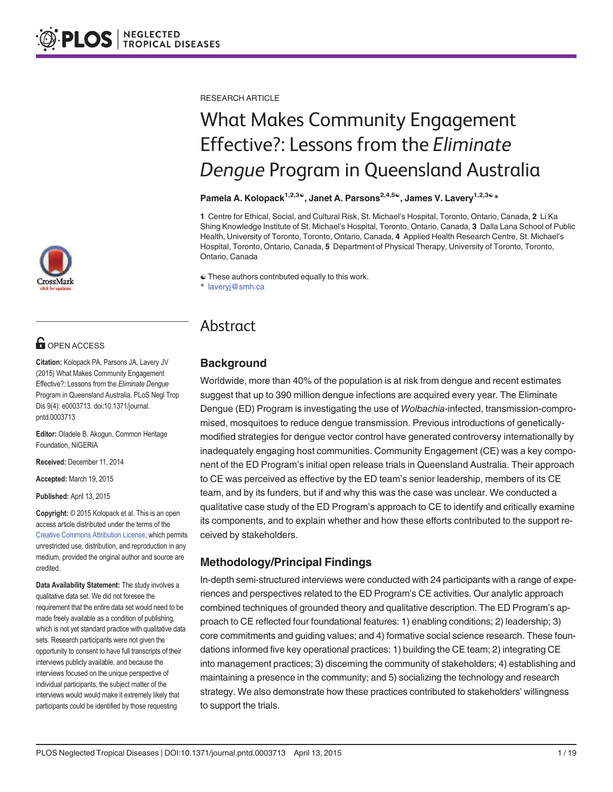

# **G** OPEN ACCESS

Citation: Kolopack PA, Parsons JA, Lavery JV (2015) What Makes Community Engagement Effective?: Lessons from the Eliminate Dengue Program in Queensland Australia. PLoS Negl Trop Dis 9(4): e0003713. doi:10.1371/journal. pntd.0003713

Editor: Oladele B. Akogun, Common Heritage Foundation, NIGERIA

Received: December 11, 2014

Accepted: March 19, 2015

Published: April 13, 2015

Copyright: © 2015 Kolopack et al. This is an open access article distributed under the terms of the [Creative Commons Attribution License,](http://creativecommons.org/licenses/by/4.0/) which permits unrestricted use, distribution, and reproduction in any medium, provided the original author and source are credited.

Data Availability Statement: The study involves a qualitative data set. We did not foresee the requirement that the entire data set would need to be made freely available as a condition of publishing, which is not yet standard practice with qualitative data sets. Research participants were not given the opportunity to consent to have full transcripts of their interviews publicly available, and because the interviews focused on the unique perspective of individual participants, the subject matter of the interviews would would make it extremely likely that participants could be identified by those requesting

RESEARCH ARTICLE

# What Makes Community Engagement Effective?: Lessons from the Eliminate Dengue Program in Queensland Australia

### Pamela A. Kolopack<sup>1,2,3</sub>®, Janet A. Parsons<sup>2,4,5®</sup>, James V. Lavery<sup>1,2,3®</sup> \*</sup>

1 Centre for Ethical, Social, and Cultural Risk, St. Michael's Hospital, Toronto, Ontario, Canada, 2 Li Ka Shing Knowledge Institute of St. Michael's Hospital, Toronto, Ontario, Canada, 3 Dalla Lana School of Public Health, University of Toronto, Toronto, Ontario, Canada, 4 Applied Health Research Centre, St. Michael's Hospital, Toronto, Ontario, Canada, 5 Department of Physical Therapy, University of Toronto, Toronto, Ontario, Canada

☯ These authors contributed equally to this work.

\* laveryj@smh.ca

# Abstract

# **Background**

Worldwide, more than 40% of the population is at risk from dengue and recent estimates suggest that up to 390 million dengue infections are acquired every year. The Eliminate Dengue (ED) Program is investigating the use of Wolbachia-infected, transmission-compromised, mosquitoes to reduce dengue transmission. Previous introductions of geneticallymodified strategies for dengue vector control have generated controversy internationally by inadequately engaging host communities. Community Engagement (CE) was a key component of the ED Program's initial open release trials in Queensland Australia. Their approach to CE was perceived as effective by the ED team's senior leadership, members of its CE team, and by its funders, but if and why this was the case was unclear. We conducted a qualitative case study of the ED Program's approach to CE to identify and critically examine its components, and to explain whether and how these efforts contributed to the support received by stakeholders.

# Methodology/Principal Findings

In-depth semi-structured interviews were conducted with 24 participants with a range of experiences and perspectives related to the ED Program's CE activities. Our analytic approach combined techniques of grounded theory and qualitative description. The ED Program's approach to CE reflected four foundational features: 1) enabling conditions; 2) leadership; 3) core commitments and guiding values; and 4) formative social science research. These foundations informed five key operational practices: 1) building the CE team; 2) integrating CE into management practices; 3) discerning the community of stakeholders; 4) establishing and maintaining a presence in the community; and 5) socializing the technology and research strategy. We also demonstrate how these practices contributed to stakeholders' willingness to support the trials.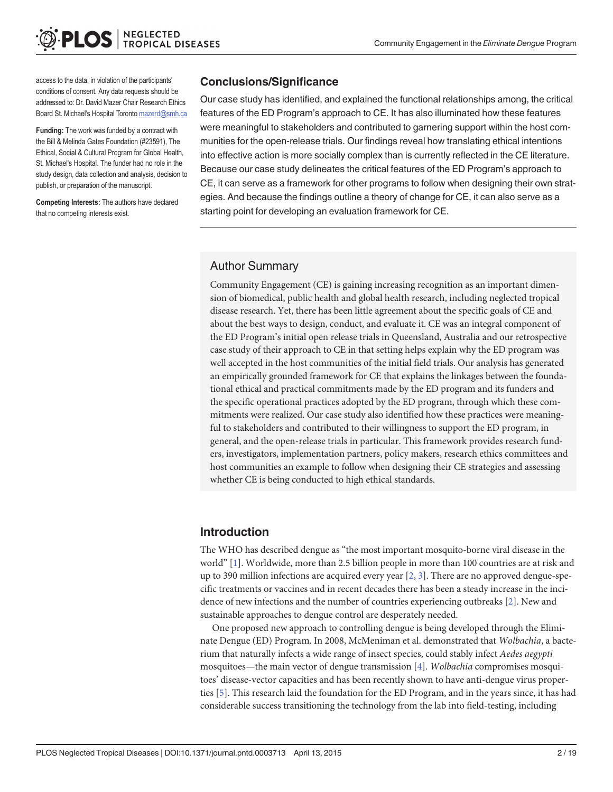<span id="page-1-0"></span>access to the data, in violation of the participants' conditions of consent. Any data requests should be addressed to: Dr. David Mazer Chair Research Ethics Board St. Michael's Hospital Toronto mazerd@smh.ca

Funding: The work was funded by a contract with the Bill & Melinda Gates Foundation (#23591), The Ethical, Social & Cultural Program for Global Health, St. Michael's Hospital. The funder had no role in the study design, data collection and analysis, decision to publish, or preparation of the manuscript.

Competing Interests: The authors have declared that no competing interests exist.

### Conclusions/Significance

Our case study has identified, and explained the functional relationships among, the critical features of the ED Program's approach to CE. It has also illuminated how these features were meaningful to stakeholders and contributed to garnering support within the host communities for the open-release trials. Our findings reveal how translating ethical intentions into effective action is more socially complex than is currently reflected in the CE literature. Because our case study delineates the critical features of the ED Program's approach to CE, it can serve as a framework for other programs to follow when designing their own strategies. And because the findings outline a theory of change for CE, it can also serve as a starting point for developing an evaluation framework for CE.

### Author Summary

Community Engagement (CE) is gaining increasing recognition as an important dimension of biomedical, public health and global health research, including neglected tropical disease research. Yet, there has been little agreement about the specific goals of CE and about the best ways to design, conduct, and evaluate it. CE was an integral component of the ED Program's initial open release trials in Queensland, Australia and our retrospective case study of their approach to CE in that setting helps explain why the ED program was well accepted in the host communities of the initial field trials. Our analysis has generated an empirically grounded framework for CE that explains the linkages between the foundational ethical and practical commitments made by the ED program and its funders and the specific operational practices adopted by the ED program, through which these commitments were realized. Our case study also identified how these practices were meaningful to stakeholders and contributed to their willingness to support the ED program, in general, and the open-release trials in particular. This framework provides research funders, investigators, implementation partners, policy makers, research ethics committees and host communities an example to follow when designing their CE strategies and assessing whether CE is being conducted to high ethical standards.

# Introduction

The WHO has described dengue as "the most important mosquito-borne viral disease in the world" [[1\]](#page-17-0). Worldwide, more than 2.5 billion people in more than 100 countries are at risk and up to [3](#page-17-0)90 million infections are acquired every year  $[2, 3]$  $[2, 3]$  $[2, 3]$ . There are no approved dengue-specific treatments or vaccines and in recent decades there has been a steady increase in the incidence of new infections and the number of countries experiencing outbreaks [[2\]](#page-17-0). New and sustainable approaches to dengue control are desperately needed.

One proposed new approach to controlling dengue is being developed through the Eliminate Dengue (ED) Program. In 2008, McMeniman et al. demonstrated that Wolbachia, a bacterium that naturally infects a wide range of insect species, could stably infect Aedes aegypti mosquitoes—the main vector of dengue transmission [[4\]](#page-17-0). Wolbachia compromises mosquitoes' disease-vector capacities and has been recently shown to have anti-dengue virus properties [\[5\]](#page-17-0). This research laid the foundation for the ED Program, and in the years since, it has had considerable success transitioning the technology from the lab into field-testing, including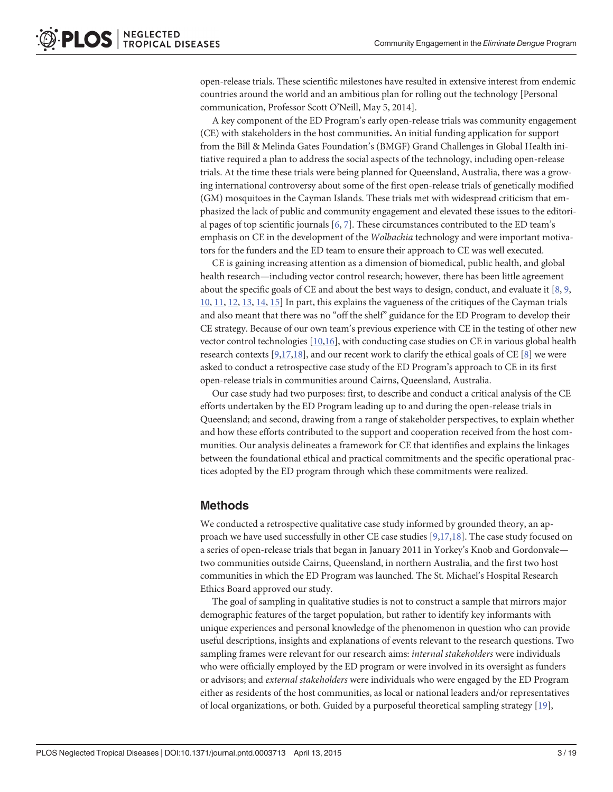<span id="page-2-0"></span>open-release trials. These scientific milestones have resulted in extensive interest from endemic countries around the world and an ambitious plan for rolling out the technology [Personal communication, Professor Scott O'Neill, May 5, 2014].

A key component of the ED Program's early open-release trials was community engagement (CE) with stakeholders in the host communities. An initial funding application for support from the Bill & Melinda Gates Foundation's (BMGF) Grand Challenges in Global Health initiative required a plan to address the social aspects of the technology, including open-release trials. At the time these trials were being planned for Queensland, Australia, there was a growing international controversy about some of the first open-release trials of genetically modified (GM) mosquitoes in the Cayman Islands. These trials met with widespread criticism that emphasized the lack of public and community engagement and elevated these issues to the editorial pages of top scientific journals  $[6, 7]$  $[6, 7]$  $[6, 7]$  $[6, 7]$ . These circumstances contributed to the ED team's emphasis on CE in the development of the Wolbachia technology and were important motivators for the funders and the ED team to ensure their approach to CE was well executed.

CE is gaining increasing attention as a dimension of biomedical, public health, and global health research—including vector control research; however, there has been little agreement about the specific goals of CE and about the best ways to design, conduct, and evaluate it [\[8](#page-17-0), [9](#page-17-0), [10,](#page-17-0) [11,](#page-17-0) [12,](#page-17-0) [13,](#page-17-0) [14](#page-17-0), [15](#page-18-0)] In part, this explains the vagueness of the critiques of the Cayman trials and also meant that there was no "off the shelf" guidance for the ED Program to develop their CE strategy. Because of our own team's previous experience with CE in the testing of other new vector control technologies [[10](#page-17-0),[16](#page-18-0)], with conducting case studies on CE in various global health research contexts  $[9,17,18]$  $[9,17,18]$ , and our recent work to clarify the ethical goals of CE  $[8]$  $[8]$  $[8]$  we were asked to conduct a retrospective case study of the ED Program's approach to CE in its first open-release trials in communities around Cairns, Queensland, Australia.

Our case study had two purposes: first, to describe and conduct a critical analysis of the CE efforts undertaken by the ED Program leading up to and during the open-release trials in Queensland; and second, drawing from a range of stakeholder perspectives, to explain whether and how these efforts contributed to the support and cooperation received from the host communities. Our analysis delineates a framework for CE that identifies and explains the linkages between the foundational ethical and practical commitments and the specific operational practices adopted by the ED program through which these commitments were realized.

### Methods

We conducted a retrospective qualitative case study informed by grounded theory, an approach we have used successfully in other CE case studies  $[9,17,18]$  $[9,17,18]$  $[9,17,18]$ . The case study focused on a series of open-release trials that began in January 2011 in Yorkey's Knob and Gordonvale two communities outside Cairns, Queensland, in northern Australia, and the first two host communities in which the ED Program was launched. The St. Michael's Hospital Research Ethics Board approved our study.

The goal of sampling in qualitative studies is not to construct a sample that mirrors major demographic features of the target population, but rather to identify key informants with unique experiences and personal knowledge of the phenomenon in question who can provide useful descriptions, insights and explanations of events relevant to the research questions. Two sampling frames were relevant for our research aims: internal stakeholders were individuals who were officially employed by the ED program or were involved in its oversight as funders or advisors; and external stakeholders were individuals who were engaged by the ED Program either as residents of the host communities, as local or national leaders and/or representatives of local organizations, or both. Guided by a purposeful theoretical sampling strategy  $[19]$  $[19]$ ,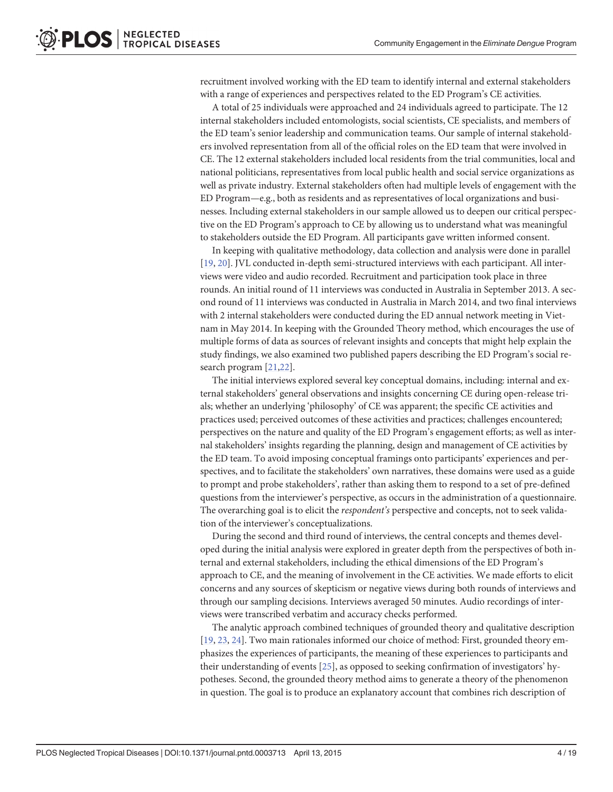<span id="page-3-0"></span>recruitment involved working with the ED team to identify internal and external stakeholders with a range of experiences and perspectives related to the ED Program's CE activities.

A total of 25 individuals were approached and 24 individuals agreed to participate. The 12 internal stakeholders included entomologists, social scientists, CE specialists, and members of the ED team's senior leadership and communication teams. Our sample of internal stakeholders involved representation from all of the official roles on the ED team that were involved in CE. The 12 external stakeholders included local residents from the trial communities, local and national politicians, representatives from local public health and social service organizations as well as private industry. External stakeholders often had multiple levels of engagement with the ED Program—e.g., both as residents and as representatives of local organizations and businesses. Including external stakeholders in our sample allowed us to deepen our critical perspective on the ED Program's approach to CE by allowing us to understand what was meaningful to stakeholders outside the ED Program. All participants gave written informed consent.

In keeping with qualitative methodology, data collection and analysis were done in parallel [\[19](#page-18-0), [20\]](#page-18-0). JVL conducted in-depth semi-structured interviews with each participant. All interviews were video and audio recorded. Recruitment and participation took place in three rounds. An initial round of 11 interviews was conducted in Australia in September 2013. A second round of 11 interviews was conducted in Australia in March 2014, and two final interviews with 2 internal stakeholders were conducted during the ED annual network meeting in Vietnam in May 2014. In keeping with the Grounded Theory method, which encourages the use of multiple forms of data as sources of relevant insights and concepts that might help explain the study findings, we also examined two published papers describing the ED Program's social research program [[21](#page-18-0),[22](#page-18-0)].

The initial interviews explored several key conceptual domains, including: internal and external stakeholders' general observations and insights concerning CE during open-release trials; whether an underlying 'philosophy' of CE was apparent; the specific CE activities and practices used; perceived outcomes of these activities and practices; challenges encountered; perspectives on the nature and quality of the ED Program's engagement efforts; as well as internal stakeholders' insights regarding the planning, design and management of CE activities by the ED team. To avoid imposing conceptual framings onto participants' experiences and perspectives, and to facilitate the stakeholders' own narratives, these domains were used as a guide to prompt and probe stakeholders', rather than asking them to respond to a set of pre-defined questions from the interviewer's perspective, as occurs in the administration of a questionnaire. The overarching goal is to elicit the respondent's perspective and concepts, not to seek validation of the interviewer's conceptualizations.

During the second and third round of interviews, the central concepts and themes developed during the initial analysis were explored in greater depth from the perspectives of both internal and external stakeholders, including the ethical dimensions of the ED Program's approach to CE, and the meaning of involvement in the CE activities. We made efforts to elicit concerns and any sources of skepticism or negative views during both rounds of interviews and through our sampling decisions. Interviews averaged 50 minutes. Audio recordings of interviews were transcribed verbatim and accuracy checks performed.

The analytic approach combined techniques of grounded theory and qualitative description [\[19](#page-18-0), [23,](#page-18-0) [24\]](#page-18-0). Two main rationales informed our choice of method: First, grounded theory emphasizes the experiences of participants, the meaning of these experiences to participants and their understanding of events [[25\]](#page-18-0), as opposed to seeking confirmation of investigators' hypotheses. Second, the grounded theory method aims to generate a theory of the phenomenon in question. The goal is to produce an explanatory account that combines rich description of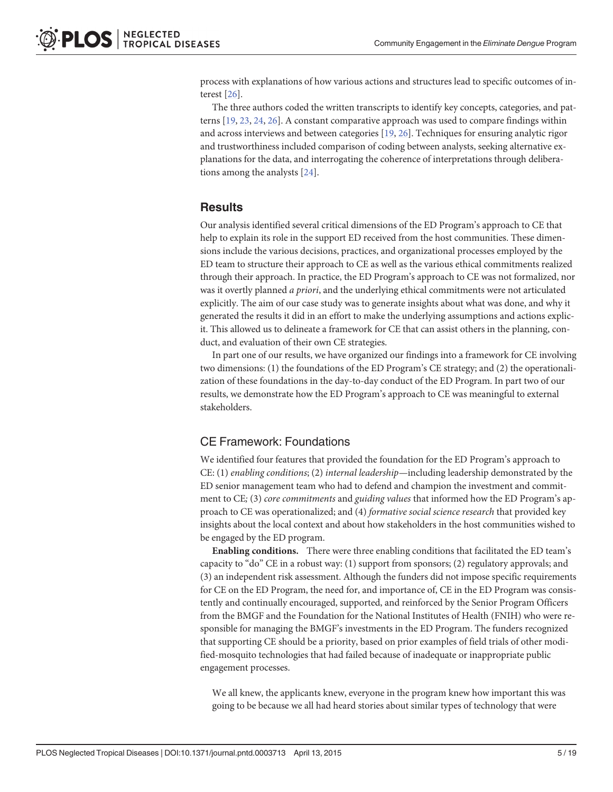<span id="page-4-0"></span>process with explanations of how various actions and structures lead to specific outcomes of interest  $[26]$ .

The three authors coded the written transcripts to identify key concepts, categories, and patterns [[19](#page-18-0), [23](#page-18-0), [24](#page-18-0), [26](#page-18-0)]. A constant comparative approach was used to compare findings within and across interviews and between categories [[19,](#page-18-0) [26\]](#page-18-0). Techniques for ensuring analytic rigor and trustworthiness included comparison of coding between analysts, seeking alternative explanations for the data, and interrogating the coherence of interpretations through deliberations among the analysts [[24](#page-18-0)].

# Results

Our analysis identified several critical dimensions of the ED Program's approach to CE that help to explain its role in the support ED received from the host communities. These dimensions include the various decisions, practices, and organizational processes employed by the ED team to structure their approach to CE as well as the various ethical commitments realized through their approach. In practice, the ED Program's approach to CE was not formalized, nor was it overtly planned a priori, and the underlying ethical commitments were not articulated explicitly. The aim of our case study was to generate insights about what was done, and why it generated the results it did in an effort to make the underlying assumptions and actions explicit. This allowed us to delineate a framework for CE that can assist others in the planning, conduct, and evaluation of their own CE strategies.

In part one of our results, we have organized our findings into a framework for CE involving two dimensions: (1) the foundations of the ED Program's CE strategy; and (2) the operationalization of these foundations in the day-to-day conduct of the ED Program. In part two of our results, we demonstrate how the ED Program's approach to CE was meaningful to external stakeholders.

# CE Framework: Foundations

We identified four features that provided the foundation for the ED Program's approach to CE: (1) enabling conditions; (2) internal leadership—including leadership demonstrated by the ED senior management team who had to defend and champion the investment and commitment to CE; (3) *core commitments* and *guiding values* that informed how the ED Program's approach to CE was operationalized; and (4) formative social science research that provided key insights about the local context and about how stakeholders in the host communities wished to be engaged by the ED program.

Enabling conditions. There were three enabling conditions that facilitated the ED team's capacity to "do" CE in a robust way: (1) support from sponsors; (2) regulatory approvals; and (3) an independent risk assessment. Although the funders did not impose specific requirements for CE on the ED Program, the need for, and importance of, CE in the ED Program was consistently and continually encouraged, supported, and reinforced by the Senior Program Officers from the BMGF and the Foundation for the National Institutes of Health (FNIH) who were responsible for managing the BMGF's investments in the ED Program. The funders recognized that supporting CE should be a priority, based on prior examples of field trials of other modified-mosquito technologies that had failed because of inadequate or inappropriate public engagement processes.

We all knew, the applicants knew, everyone in the program knew how important this was going to be because we all had heard stories about similar types of technology that were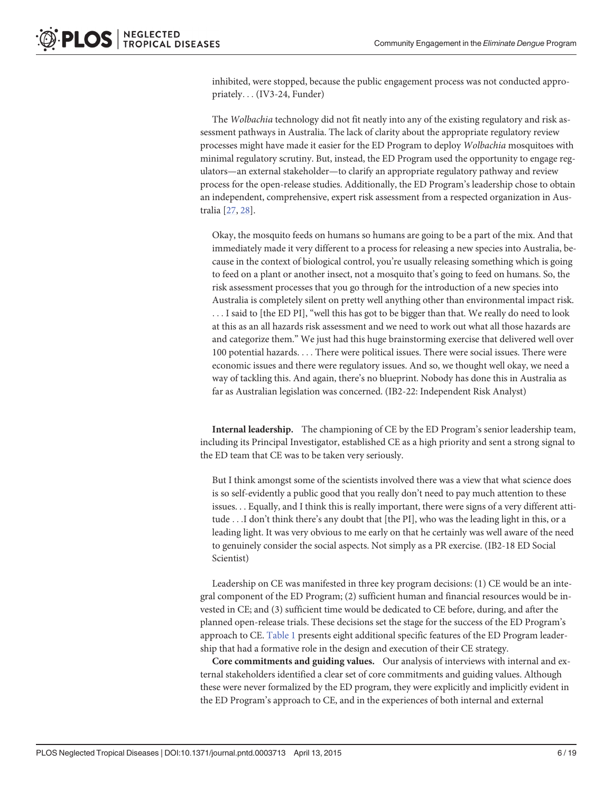<span id="page-5-0"></span>inhibited, were stopped, because the public engagement process was not conducted appropriately... (IV3-24, Funder)

The Wolbachia technology did not fit neatly into any of the existing regulatory and risk assessment pathways in Australia. The lack of clarity about the appropriate regulatory review processes might have made it easier for the ED Program to deploy Wolbachia mosquitoes with minimal regulatory scrutiny. But, instead, the ED Program used the opportunity to engage regulators—an external stakeholder—to clarify an appropriate regulatory pathway and review process for the open-release studies. Additionally, the ED Program's leadership chose to obtain an independent, comprehensive, expert risk assessment from a respected organization in Australia [\[27,](#page-18-0) [28\]](#page-18-0).

Okay, the mosquito feeds on humans so humans are going to be a part of the mix. And that immediately made it very different to a process for releasing a new species into Australia, because in the context of biological control, you're usually releasing something which is going to feed on a plant or another insect, not a mosquito that's going to feed on humans. So, the risk assessment processes that you go through for the introduction of a new species into Australia is completely silent on pretty well anything other than environmental impact risk. ... I said to [the ED PI], "well this has got to be bigger than that. We really do need to look at this as an all hazards risk assessment and we need to work out what all those hazards are and categorize them." We just had this huge brainstorming exercise that delivered well over 100 potential hazards. ... There were political issues. There were social issues. There were economic issues and there were regulatory issues. And so, we thought well okay, we need a way of tackling this. And again, there's no blueprint. Nobody has done this in Australia as far as Australian legislation was concerned. (IB2-22: Independent Risk Analyst)

Internal leadership. The championing of CE by the ED Program's senior leadership team, including its Principal Investigator, established CE as a high priority and sent a strong signal to the ED team that CE was to be taken very seriously.

But I think amongst some of the scientists involved there was a view that what science does is so self-evidently a public good that you really don't need to pay much attention to these issues. . . Equally, and I think this is really important, there were signs of a very different attitude ...I don't think there's any doubt that [the PI], who was the leading light in this, or a leading light. It was very obvious to me early on that he certainly was well aware of the need to genuinely consider the social aspects. Not simply as a PR exercise. (IB2-18 ED Social Scientist)

Leadership on CE was manifested in three key program decisions: (1) CE would be an integral component of the ED Program; (2) sufficient human and financial resources would be invested in CE; and (3) sufficient time would be dedicated to CE before, during, and after the planned open-release trials. These decisions set the stage for the success of the ED Program's approach to CE. [Table 1](#page-6-0) presents eight additional specific features of the ED Program leadership that had a formative role in the design and execution of their CE strategy.

Core commitments and guiding values. Our analysis of interviews with internal and external stakeholders identified a clear set of core commitments and guiding values. Although these were never formalized by the ED program, they were explicitly and implicitly evident in the ED Program's approach to CE, and in the experiences of both internal and external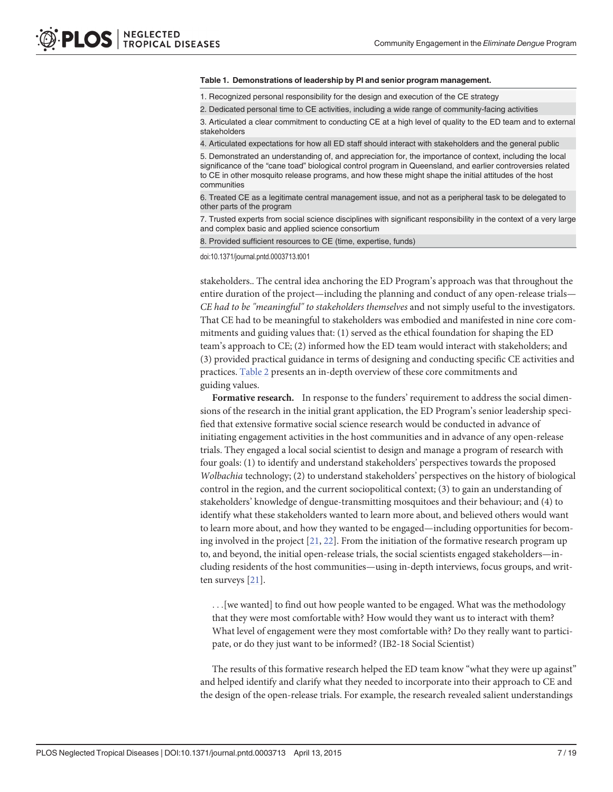#### [Table 1.](#page-5-0) Demonstrations of leadership by PI and senior program management.

1. Recognized personal responsibility for the design and execution of the CE strategy

<span id="page-6-0"></span>2. Dedicated personal time to CE activities, including a wide range of community-facing activities

3. Articulated a clear commitment to conducting CE at a high level of quality to the ED team and to external stakeholders

4. Articulated expectations for how all ED staff should interact with stakeholders and the general public

5. Demonstrated an understanding of, and appreciation for, the importance of context, including the local significance of the "cane toad" biological control program in Queensland, and earlier controversies related to CE in other mosquito release programs, and how these might shape the initial attitudes of the host communities

6. Treated CE as a legitimate central management issue, and not as a peripheral task to be delegated to other parts of the program

7. Trusted experts from social science disciplines with significant responsibility in the context of a very large and complex basic and applied science consortium

8. Provided sufficient resources to CE (time, expertise, funds)

doi:10.1371/journal.pntd.0003713.t001

stakeholders.. The central idea anchoring the ED Program's approach was that throughout the entire duration of the project—including the planning and conduct of any open-release trials— CE had to be "meaningful" to stakeholders themselves and not simply useful to the investigators. That CE had to be meaningful to stakeholders was embodied and manifested in nine core commitments and guiding values that: (1) served as the ethical foundation for shaping the ED team's approach to CE; (2) informed how the ED team would interact with stakeholders; and (3) provided practical guidance in terms of designing and conducting specific CE activities and practices. [Table 2](#page-7-0) presents an in-depth overview of these core commitments and guiding values.

Formative research. In response to the funders' requirement to address the social dimensions of the research in the initial grant application, the ED Program's senior leadership specified that extensive formative social science research would be conducted in advance of initiating engagement activities in the host communities and in advance of any open-release trials. They engaged a local social scientist to design and manage a program of research with four goals: (1) to identify and understand stakeholders' perspectives towards the proposed Wolbachia technology; (2) to understand stakeholders' perspectives on the history of biological control in the region, and the current sociopolitical context; (3) to gain an understanding of stakeholders' knowledge of dengue-transmitting mosquitoes and their behaviour; and (4) to identify what these stakeholders wanted to learn more about, and believed others would want to learn more about, and how they wanted to be engaged—including opportunities for becoming involved in the project  $[21, 22]$  $[21, 22]$  $[21, 22]$  $[21, 22]$ . From the initiation of the formative research program up to, and beyond, the initial open-release trials, the social scientists engaged stakeholders—including residents of the host communities—using in-depth interviews, focus groups, and written surveys [[21\]](#page-18-0).

...[we wanted] to find out how people wanted to be engaged. What was the methodology that they were most comfortable with? How would they want us to interact with them? What level of engagement were they most comfortable with? Do they really want to participate, or do they just want to be informed? (IB2-18 Social Scientist)

The results of this formative research helped the ED team know "what they were up against" and helped identify and clarify what they needed to incorporate into their approach to CE and the design of the open-release trials. For example, the research revealed salient understandings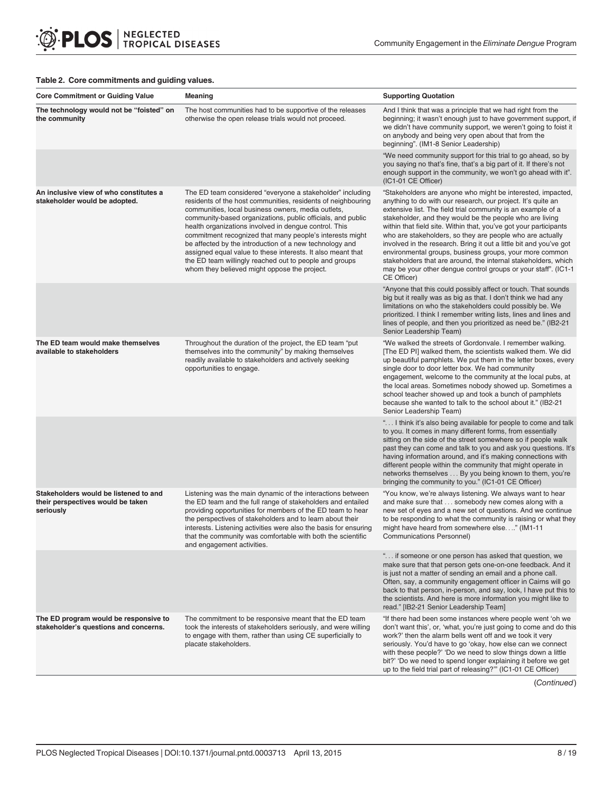#### <span id="page-7-0"></span>[Table 2.](#page-6-0) Core commitments and guiding values.

| <b>Core Commitment or Guiding Value</b>                                                 | Meaning                                                                                                                                                                                                                                                                                                                                                                                                                                                                                                                                                                                                 | <b>Supporting Quotation</b>                                                                                                                                                                                                                                                                                                                                                                                                                                                                                                                                                                                                                                                   |
|-----------------------------------------------------------------------------------------|---------------------------------------------------------------------------------------------------------------------------------------------------------------------------------------------------------------------------------------------------------------------------------------------------------------------------------------------------------------------------------------------------------------------------------------------------------------------------------------------------------------------------------------------------------------------------------------------------------|-------------------------------------------------------------------------------------------------------------------------------------------------------------------------------------------------------------------------------------------------------------------------------------------------------------------------------------------------------------------------------------------------------------------------------------------------------------------------------------------------------------------------------------------------------------------------------------------------------------------------------------------------------------------------------|
| The technology would not be "foisted" on<br>the community                               | The host communities had to be supportive of the releases<br>otherwise the open release trials would not proceed.                                                                                                                                                                                                                                                                                                                                                                                                                                                                                       | And I think that was a principle that we had right from the<br>beginning; it wasn't enough just to have government support, if<br>we didn't have community support, we weren't going to foist it<br>on anybody and being very open about that from the<br>beginning". (IM1-8 Senior Leadership)                                                                                                                                                                                                                                                                                                                                                                               |
|                                                                                         |                                                                                                                                                                                                                                                                                                                                                                                                                                                                                                                                                                                                         | "We need community support for this trial to go ahead, so by<br>you saying no that's fine, that's a big part of it. If there's not<br>enough support in the community, we won't go ahead with it".<br>(IC1-01 CE Officer)                                                                                                                                                                                                                                                                                                                                                                                                                                                     |
| An inclusive view of who constitutes a<br>stakeholder would be adopted.                 | The ED team considered "everyone a stakeholder" including<br>residents of the host communities, residents of neighbouring<br>communities, local business owners, media outlets,<br>community-based organizations, public officials, and public<br>health organizations involved in dengue control. This<br>commitment recognized that many people's interests might<br>be affected by the introduction of a new technology and<br>assigned equal value to these interests. It also meant that<br>the ED team willingly reached out to people and groups<br>whom they believed might oppose the project. | "Stakeholders are anyone who might be interested, impacted,<br>anything to do with our research, our project. It's quite an<br>extensive list. The field trial community is an example of a<br>stakeholder, and they would be the people who are living<br>within that field site. Within that, you've got your participants<br>who are stakeholders, so they are people who are actually<br>involved in the research. Bring it out a little bit and you've got<br>environmental groups, business groups, your more common<br>stakeholders that are around, the internal stakeholders, which<br>may be your other dengue control groups or your staff". (IC1-1<br>CE Officer) |
|                                                                                         |                                                                                                                                                                                                                                                                                                                                                                                                                                                                                                                                                                                                         | "Anyone that this could possibly affect or touch. That sounds<br>big but it really was as big as that. I don't think we had any<br>limitations on who the stakeholders could possibly be. We<br>prioritized. I think I remember writing lists, lines and lines and<br>lines of people, and then you prioritized as need be." (IB2-21)<br>Senior Leadership Team)                                                                                                                                                                                                                                                                                                              |
| The ED team would make themselves<br>available to stakeholders                          | Throughout the duration of the project, the ED team "put"<br>themselves into the community" by making themselves<br>readily available to stakeholders and actively seeking<br>opportunities to engage.                                                                                                                                                                                                                                                                                                                                                                                                  | "We walked the streets of Gordonvale. I remember walking.<br>[The ED PI] walked them, the scientists walked them. We did<br>up beautiful pamphlets. We put them in the letter boxes, every<br>single door to door letter box. We had community<br>engagement, welcome to the community at the local pubs, at<br>the local areas. Sometimes nobody showed up. Sometimes a<br>school teacher showed up and took a bunch of pamphlets<br>because she wanted to talk to the school about it." (IB2-21<br>Senior Leadership Team)                                                                                                                                                  |
|                                                                                         |                                                                                                                                                                                                                                                                                                                                                                                                                                                                                                                                                                                                         | " I think it's also being available for people to come and talk<br>to you. It comes in many different forms, from essentially<br>sitting on the side of the street somewhere so if people walk<br>past they can come and talk to you and ask you questions. It's<br>having information around, and it's making connections with<br>different people within the community that might operate in<br>networks themselves By you being known to them, you're<br>bringing the community to you." (IC1-01 CE Officer)                                                                                                                                                               |
| Stakeholders would be listened to and<br>their perspectives would be taken<br>seriously | Listening was the main dynamic of the interactions between<br>the ED team and the full range of stakeholders and entailed<br>providing opportunities for members of the ED team to hear<br>the perspectives of stakeholders and to learn about their<br>interests. Listening activities were also the basis for ensuring<br>that the community was comfortable with both the scientific<br>and engagement activities.                                                                                                                                                                                   | "You know, we're always listening. We always want to hear<br>and make sure that  somebody new comes along with a<br>new set of eyes and a new set of questions. And we continue<br>to be responding to what the community is raising or what they<br>might have heard from somewhere else" (IM1-11<br>Communications Personnel)                                                                                                                                                                                                                                                                                                                                               |
|                                                                                         |                                                                                                                                                                                                                                                                                                                                                                                                                                                                                                                                                                                                         | " if someone or one person has asked that question, we<br>make sure that that person gets one-on-one feedback. And it<br>is just not a matter of sending an email and a phone call.<br>Often, say, a community engagement officer in Cairns will go<br>back to that person, in-person, and say, look, I have put this to<br>the scientists. And here is more information you might like to<br>read." [IB2-21 Senior Leadership Team]                                                                                                                                                                                                                                          |
| The ED program would be responsive to<br>stakeholder's questions and concerns.          | The commitment to be responsive meant that the ED team<br>took the interests of stakeholders seriously, and were willing<br>to engage with them, rather than using CE superficially to<br>placate stakeholders.                                                                                                                                                                                                                                                                                                                                                                                         | "If there had been some instances where people went 'oh we<br>don't want this', or, 'what, you're just going to come and do this<br>work?' then the alarm bells went off and we took it very<br>seriously. You'd have to go 'okay, how else can we connect<br>with these people?' 'Do we need to slow things down a little<br>bit?' 'Do we need to spend longer explaining it before we get<br>up to the field trial part of releasing?"" (IC1-01 CE Officer)                                                                                                                                                                                                                 |

(Continued)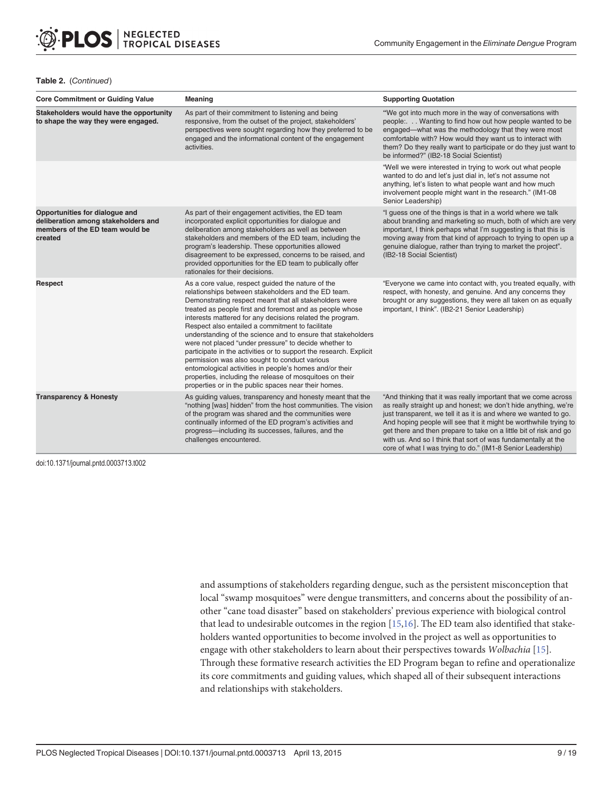#### Table 2. (Continued)

| <b>Core Commitment or Guiding Value</b>                                                                             | <b>Meaning</b>                                                                                                                                                                                                                                                                                                                                                                                                                                                                                                                                                                                                                                                                                                                                                                 | <b>Supporting Quotation</b>                                                                                                                                                                                                                                                                                                                                                                                                                                                    |
|---------------------------------------------------------------------------------------------------------------------|--------------------------------------------------------------------------------------------------------------------------------------------------------------------------------------------------------------------------------------------------------------------------------------------------------------------------------------------------------------------------------------------------------------------------------------------------------------------------------------------------------------------------------------------------------------------------------------------------------------------------------------------------------------------------------------------------------------------------------------------------------------------------------|--------------------------------------------------------------------------------------------------------------------------------------------------------------------------------------------------------------------------------------------------------------------------------------------------------------------------------------------------------------------------------------------------------------------------------------------------------------------------------|
| Stakeholders would have the opportunity<br>to shape the way they were engaged.                                      | As part of their commitment to listening and being<br>responsive, from the outset of the project, stakeholders'<br>perspectives were sought regarding how they preferred to be<br>engaged and the informational content of the engagement<br>activities.                                                                                                                                                                                                                                                                                                                                                                                                                                                                                                                       | "We got into much more in the way of conversations with<br>people: Wanting to find how out how people wanted to be<br>engaged—what was the methodology that they were most<br>comfortable with? How would they want us to interact with<br>them? Do they really want to participate or do they just want to<br>be informed?" (IB2-18 Social Scientist)                                                                                                                         |
|                                                                                                                     |                                                                                                                                                                                                                                                                                                                                                                                                                                                                                                                                                                                                                                                                                                                                                                                | "Well we were interested in trying to work out what people<br>wanted to do and let's just dial in, let's not assume not<br>anything, let's listen to what people want and how much<br>involvement people might want in the research." (IM1-08<br>Senior Leadership)                                                                                                                                                                                                            |
| Opportunities for dialogue and<br>deliberation among stakeholders and<br>members of the ED team would be<br>created | As part of their engagement activities, the ED team<br>incorporated explicit opportunities for dialogue and<br>deliberation among stakeholders as well as between<br>stakeholders and members of the ED team, including the<br>program's leadership. These opportunities allowed<br>disagreement to be expressed, concerns to be raised, and<br>provided opportunities for the ED team to publically offer<br>rationales for their decisions.                                                                                                                                                                                                                                                                                                                                  | "I guess one of the things is that in a world where we talk<br>about branding and marketing so much, both of which are very<br>important, I think perhaps what I'm suggesting is that this is<br>moving away from that kind of approach to trying to open up a<br>genuine dialogue, rather than trying to market the project".<br>(IB2-18 Social Scientist)                                                                                                                    |
| Respect                                                                                                             | As a core value, respect guided the nature of the<br>relationships between stakeholders and the ED team.<br>Demonstrating respect meant that all stakeholders were<br>treated as people first and foremost and as people whose<br>interests mattered for any decisions related the program.<br>Respect also entailed a commitment to facilitate<br>understanding of the science and to ensure that stakeholders<br>were not placed "under pressure" to decide whether to<br>participate in the activities or to support the research. Explicit<br>permission was also sought to conduct various<br>entomological activities in people's homes and/or their<br>properties, including the release of mosquitoes on their<br>properties or in the public spaces near their homes. | "Everyone we came into contact with, you treated equally, with<br>respect, with honesty, and genuine. And any concerns they<br>brought or any suggestions, they were all taken on as equally<br>important, I think". (IB2-21 Senior Leadership)                                                                                                                                                                                                                                |
| <b>Transparency &amp; Honesty</b>                                                                                   | As guiding values, transparency and honesty meant that the<br>"nothing [was] hidden" from the host communities. The vision<br>of the program was shared and the communities were<br>continually informed of the ED program's activities and<br>progress-including its successes, failures, and the<br>challenges encountered.                                                                                                                                                                                                                                                                                                                                                                                                                                                  | "And thinking that it was really important that we come across<br>as really straight up and honest; we don't hide anything, we're<br>just transparent, we tell it as it is and where we wanted to go.<br>And hoping people will see that it might be worthwhile trying to<br>get there and then prepare to take on a little bit of risk and go<br>with us. And so I think that sort of was fundamentally at the<br>core of what I was trying to do." (IM1-8 Senior Leadership) |

doi:10.1371/journal.pntd.0003713.t002

and assumptions of stakeholders regarding dengue, such as the persistent misconception that local "swamp mosquitoes" were dengue transmitters, and concerns about the possibility of another "cane toad disaster" based on stakeholders' previous experience with biological control that lead to undesirable outcomes in the region [\[15,16\]](#page-18-0). The ED team also identified that stakeholders wanted opportunities to become involved in the project as well as opportunities to engage with other stakeholders to learn about their perspectives towards Wolbachia [[15](#page-18-0)]. Through these formative research activities the ED Program began to refine and operationalize its core commitments and guiding values, which shaped all of their subsequent interactions and relationships with stakeholders.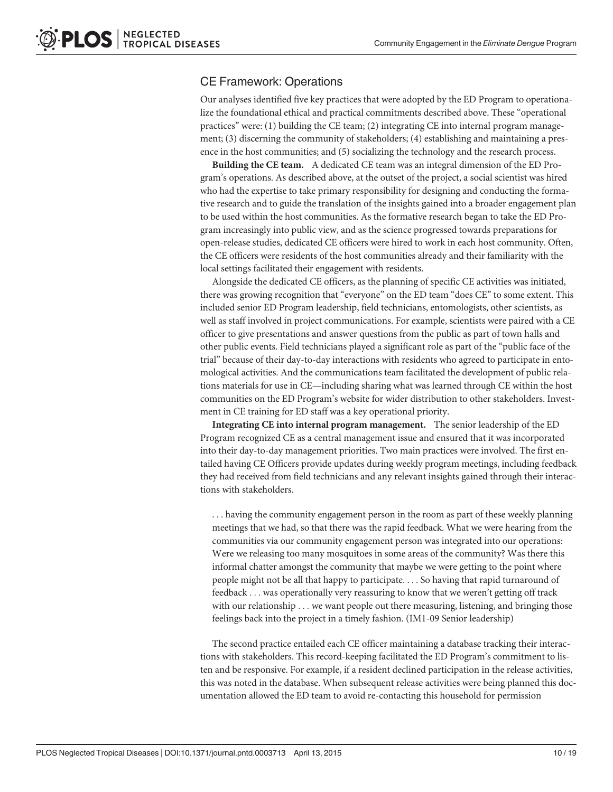# CE Framework: Operations

Our analyses identified five key practices that were adopted by the ED Program to operationalize the foundational ethical and practical commitments described above. These "operational practices" were: (1) building the CE team; (2) integrating CE into internal program management; (3) discerning the community of stakeholders; (4) establishing and maintaining a presence in the host communities; and (5) socializing the technology and the research process.

Building the CE team. A dedicated CE team was an integral dimension of the ED Program's operations. As described above, at the outset of the project, a social scientist was hired who had the expertise to take primary responsibility for designing and conducting the formative research and to guide the translation of the insights gained into a broader engagement plan to be used within the host communities. As the formative research began to take the ED Program increasingly into public view, and as the science progressed towards preparations for open-release studies, dedicated CE officers were hired to work in each host community. Often, the CE officers were residents of the host communities already and their familiarity with the local settings facilitated their engagement with residents.

Alongside the dedicated CE officers, as the planning of specific CE activities was initiated, there was growing recognition that "everyone" on the ED team "does CE" to some extent. This included senior ED Program leadership, field technicians, entomologists, other scientists, as well as staff involved in project communications. For example, scientists were paired with a CE officer to give presentations and answer questions from the public as part of town halls and other public events. Field technicians played a significant role as part of the "public face of the trial" because of their day-to-day interactions with residents who agreed to participate in entomological activities. And the communications team facilitated the development of public relations materials for use in CE—including sharing what was learned through CE within the host communities on the ED Program's website for wider distribution to other stakeholders. Investment in CE training for ED staff was a key operational priority.

Integrating CE into internal program management. The senior leadership of the ED Program recognized CE as a central management issue and ensured that it was incorporated into their day-to-day management priorities. Two main practices were involved. The first entailed having CE Officers provide updates during weekly program meetings, including feedback they had received from field technicians and any relevant insights gained through their interactions with stakeholders.

. . . having the community engagement person in the room as part of these weekly planning meetings that we had, so that there was the rapid feedback. What we were hearing from the communities via our community engagement person was integrated into our operations: Were we releasing too many mosquitoes in some areas of the community? Was there this informal chatter amongst the community that maybe we were getting to the point where people might not be all that happy to participate. . . . So having that rapid turnaround of feedback ... was operationally very reassuring to know that we weren't getting off track with our relationship ... we want people out there measuring, listening, and bringing those feelings back into the project in a timely fashion. (IM1-09 Senior leadership)

The second practice entailed each CE officer maintaining a database tracking their interactions with stakeholders. This record-keeping facilitated the ED Program's commitment to listen and be responsive. For example, if a resident declined participation in the release activities, this was noted in the database. When subsequent release activities were being planned this documentation allowed the ED team to avoid re-contacting this household for permission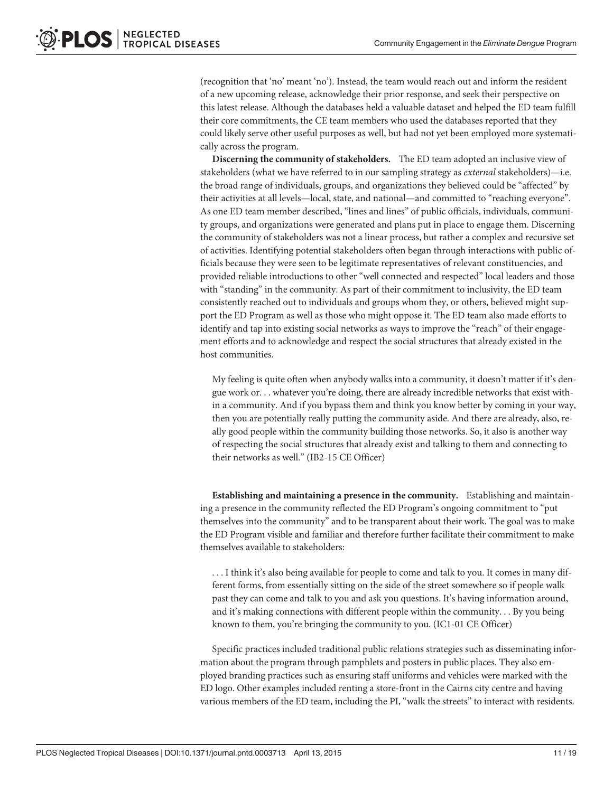(recognition that 'no' meant 'no'). Instead, the team would reach out and inform the resident of a new upcoming release, acknowledge their prior response, and seek their perspective on this latest release. Although the databases held a valuable dataset and helped the ED team fulfill their core commitments, the CE team members who used the databases reported that they could likely serve other useful purposes as well, but had not yet been employed more systematically across the program.

Discerning the community of stakeholders. The ED team adopted an inclusive view of stakeholders (what we have referred to in our sampling strategy as *external* stakeholders)—i.e. the broad range of individuals, groups, and organizations they believed could be "affected" by their activities at all levels—local, state, and national—and committed to "reaching everyone". As one ED team member described, "lines and lines" of public officials, individuals, community groups, and organizations were generated and plans put in place to engage them. Discerning the community of stakeholders was not a linear process, but rather a complex and recursive set of activities. Identifying potential stakeholders often began through interactions with public officials because they were seen to be legitimate representatives of relevant constituencies, and provided reliable introductions to other "well connected and respected" local leaders and those with "standing" in the community. As part of their commitment to inclusivity, the ED team consistently reached out to individuals and groups whom they, or others, believed might support the ED Program as well as those who might oppose it. The ED team also made efforts to identify and tap into existing social networks as ways to improve the "reach" of their engagement efforts and to acknowledge and respect the social structures that already existed in the host communities.

My feeling is quite often when anybody walks into a community, it doesn't matter if it's dengue work or. . . whatever you're doing, there are already incredible networks that exist within a community. And if you bypass them and think you know better by coming in your way, then you are potentially really putting the community aside. And there are already, also, really good people within the community building those networks. So, it also is another way of respecting the social structures that already exist and talking to them and connecting to their networks as well." (IB2-15 CE Officer)

Establishing and maintaining a presence in the community. Establishing and maintaining a presence in the community reflected the ED Program's ongoing commitment to "put themselves into the community" and to be transparent about their work. The goal was to make the ED Program visible and familiar and therefore further facilitate their commitment to make themselves available to stakeholders:

. . . I think it's also being available for people to come and talk to you. It comes in many different forms, from essentially sitting on the side of the street somewhere so if people walk past they can come and talk to you and ask you questions. It's having information around, and it's making connections with different people within the community. . . By you being known to them, you're bringing the community to you. (IC1-01 CE Officer)

Specific practices included traditional public relations strategies such as disseminating information about the program through pamphlets and posters in public places. They also employed branding practices such as ensuring staff uniforms and vehicles were marked with the ED logo. Other examples included renting a store-front in the Cairns city centre and having various members of the ED team, including the PI, "walk the streets" to interact with residents.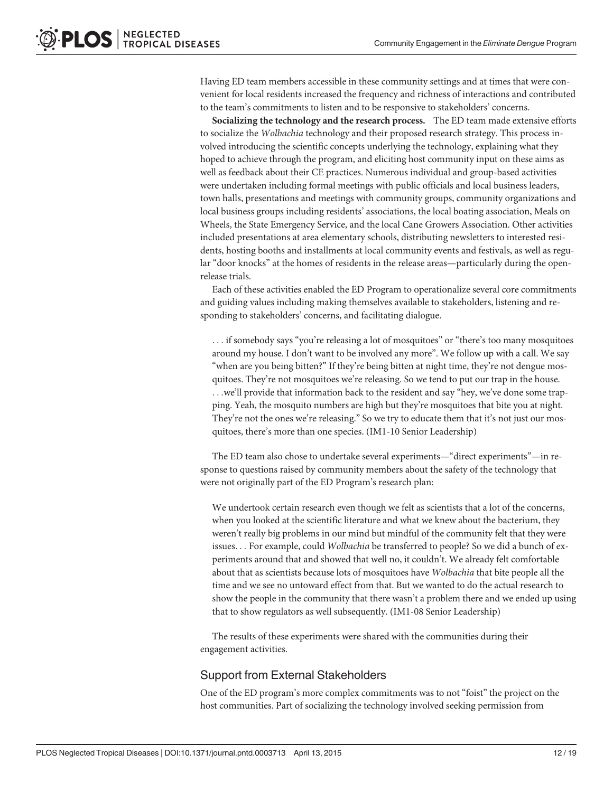Having ED team members accessible in these community settings and at times that were convenient for local residents increased the frequency and richness of interactions and contributed to the team's commitments to listen and to be responsive to stakeholders' concerns.

Socializing the technology and the research process. The ED team made extensive efforts to socialize the Wolbachia technology and their proposed research strategy. This process involved introducing the scientific concepts underlying the technology, explaining what they hoped to achieve through the program, and eliciting host community input on these aims as well as feedback about their CE practices. Numerous individual and group-based activities were undertaken including formal meetings with public officials and local business leaders, town halls, presentations and meetings with community groups, community organizations and local business groups including residents' associations, the local boating association, Meals on Wheels, the State Emergency Service, and the local Cane Growers Association. Other activities included presentations at area elementary schools, distributing newsletters to interested residents, hosting booths and installments at local community events and festivals, as well as regular "door knocks" at the homes of residents in the release areas—particularly during the openrelease trials.

Each of these activities enabled the ED Program to operationalize several core commitments and guiding values including making themselves available to stakeholders, listening and responding to stakeholders' concerns, and facilitating dialogue.

... if somebody says "you're releasing a lot of mosquitoes" or "there's too many mosquitoes around my house. I don't want to be involved any more". We follow up with a call. We say "when are you being bitten?" If they're being bitten at night time, they're not dengue mosquitoes. They're not mosquitoes we're releasing. So we tend to put our trap in the house. ...we'll provide that information back to the resident and say "hey, we've done some trapping. Yeah, the mosquito numbers are high but they're mosquitoes that bite you at night. They're not the ones we're releasing." So we try to educate them that it's not just our mosquitoes, there's more than one species. (IM1-10 Senior Leadership)

The ED team also chose to undertake several experiments—"direct experiments"—in response to questions raised by community members about the safety of the technology that were not originally part of the ED Program's research plan:

We undertook certain research even though we felt as scientists that a lot of the concerns, when you looked at the scientific literature and what we knew about the bacterium, they weren't really big problems in our mind but mindful of the community felt that they were issues... For example, could *Wolbachia* be transferred to people? So we did a bunch of experiments around that and showed that well no, it couldn't. We already felt comfortable about that as scientists because lots of mosquitoes have Wolbachia that bite people all the time and we see no untoward effect from that. But we wanted to do the actual research to show the people in the community that there wasn't a problem there and we ended up using that to show regulators as well subsequently. (IM1-08 Senior Leadership)

The results of these experiments were shared with the communities during their engagement activities.

### Support from External Stakeholders

One of the ED program's more complex commitments was to not "foist" the project on the host communities. Part of socializing the technology involved seeking permission from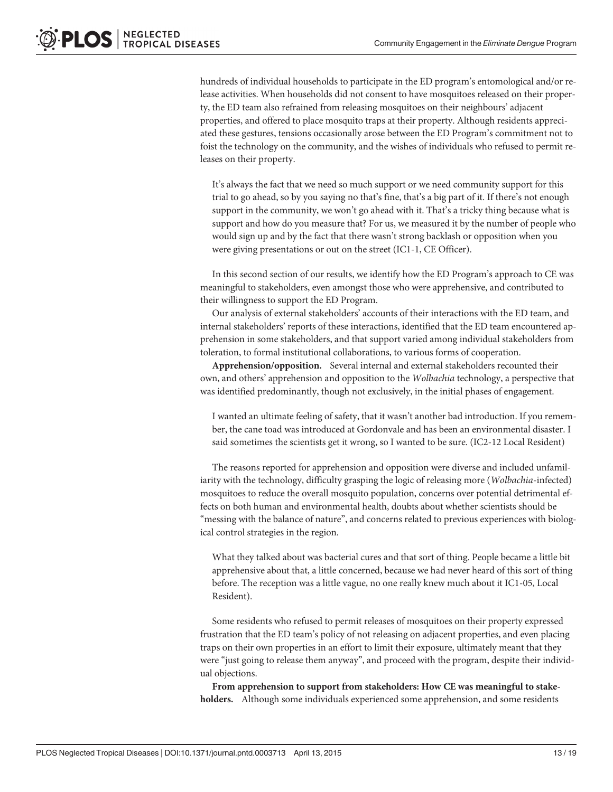hundreds of individual households to participate in the ED program's entomological and/or release activities. When households did not consent to have mosquitoes released on their property, the ED team also refrained from releasing mosquitoes on their neighbours' adjacent properties, and offered to place mosquito traps at their property. Although residents appreciated these gestures, tensions occasionally arose between the ED Program's commitment not to foist the technology on the community, and the wishes of individuals who refused to permit releases on their property.

It's always the fact that we need so much support or we need community support for this trial to go ahead, so by you saying no that's fine, that's a big part of it. If there's not enough support in the community, we won't go ahead with it. That's a tricky thing because what is support and how do you measure that? For us, we measured it by the number of people who would sign up and by the fact that there wasn't strong backlash or opposition when you were giving presentations or out on the street (IC1-1, CE Officer).

In this second section of our results, we identify how the ED Program's approach to CE was meaningful to stakeholders, even amongst those who were apprehensive, and contributed to their willingness to support the ED Program.

Our analysis of external stakeholders' accounts of their interactions with the ED team, and internal stakeholders' reports of these interactions, identified that the ED team encountered apprehension in some stakeholders, and that support varied among individual stakeholders from toleration, to formal institutional collaborations, to various forms of cooperation.

Apprehension/opposition. Several internal and external stakeholders recounted their own, and others' apprehension and opposition to the Wolbachia technology, a perspective that was identified predominantly, though not exclusively, in the initial phases of engagement.

I wanted an ultimate feeling of safety, that it wasn't another bad introduction. If you remember, the cane toad was introduced at Gordonvale and has been an environmental disaster. I said sometimes the scientists get it wrong, so I wanted to be sure. (IC2-12 Local Resident)

The reasons reported for apprehension and opposition were diverse and included unfamiliarity with the technology, difficulty grasping the logic of releasing more (*Wolbachia-infected*) mosquitoes to reduce the overall mosquito population, concerns over potential detrimental effects on both human and environmental health, doubts about whether scientists should be "messing with the balance of nature", and concerns related to previous experiences with biological control strategies in the region.

What they talked about was bacterial cures and that sort of thing. People became a little bit apprehensive about that, a little concerned, because we had never heard of this sort of thing before. The reception was a little vague, no one really knew much about it IC1-05, Local Resident).

Some residents who refused to permit releases of mosquitoes on their property expressed frustration that the ED team's policy of not releasing on adjacent properties, and even placing traps on their own properties in an effort to limit their exposure, ultimately meant that they were "just going to release them anyway", and proceed with the program, despite their individual objections.

From apprehension to support from stakeholders: How CE was meaningful to stakeholders. Although some individuals experienced some apprehension, and some residents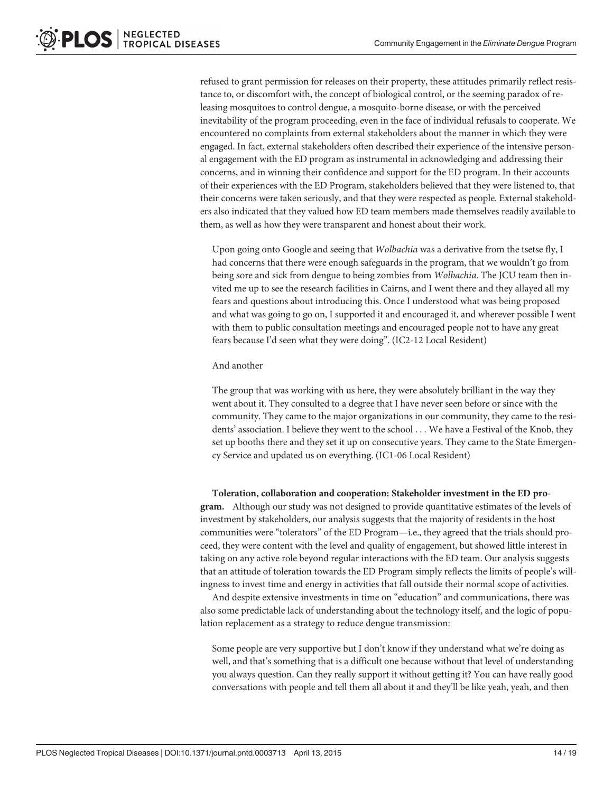refused to grant permission for releases on their property, these attitudes primarily reflect resistance to, or discomfort with, the concept of biological control, or the seeming paradox of releasing mosquitoes to control dengue, a mosquito-borne disease, or with the perceived inevitability of the program proceeding, even in the face of individual refusals to cooperate. We encountered no complaints from external stakeholders about the manner in which they were engaged. In fact, external stakeholders often described their experience of the intensive personal engagement with the ED program as instrumental in acknowledging and addressing their concerns, and in winning their confidence and support for the ED program. In their accounts of their experiences with the ED Program, stakeholders believed that they were listened to, that their concerns were taken seriously, and that they were respected as people. External stakeholders also indicated that they valued how ED team members made themselves readily available to them, as well as how they were transparent and honest about their work.

Upon going onto Google and seeing that *Wolbachia* was a derivative from the tsetse fly, I had concerns that there were enough safeguards in the program, that we wouldn't go from being sore and sick from dengue to being zombies from Wolbachia. The JCU team then invited me up to see the research facilities in Cairns, and I went there and they allayed all my fears and questions about introducing this. Once I understood what was being proposed and what was going to go on, I supported it and encouraged it, and wherever possible I went with them to public consultation meetings and encouraged people not to have any great fears because I'd seen what they were doing". (IC2-12 Local Resident)

#### And another

The group that was working with us here, they were absolutely brilliant in the way they went about it. They consulted to a degree that I have never seen before or since with the community. They came to the major organizations in our community, they came to the residents' association. I believe they went to the school ... We have a Festival of the Knob, they set up booths there and they set it up on consecutive years. They came to the State Emergency Service and updated us on everything. (IC1-06 Local Resident)

Toleration, collaboration and cooperation: Stakeholder investment in the ED program. Although our study was not designed to provide quantitative estimates of the levels of investment by stakeholders, our analysis suggests that the majority of residents in the host communities were "tolerators" of the ED Program—i.e., they agreed that the trials should proceed, they were content with the level and quality of engagement, but showed little interest in taking on any active role beyond regular interactions with the ED team. Our analysis suggests that an attitude of toleration towards the ED Program simply reflects the limits of people's willingness to invest time and energy in activities that fall outside their normal scope of activities.

And despite extensive investments in time on "education" and communications, there was also some predictable lack of understanding about the technology itself, and the logic of population replacement as a strategy to reduce dengue transmission:

Some people are very supportive but I don't know if they understand what we're doing as well, and that's something that is a difficult one because without that level of understanding you always question. Can they really support it without getting it? You can have really good conversations with people and tell them all about it and they'll be like yeah, yeah, and then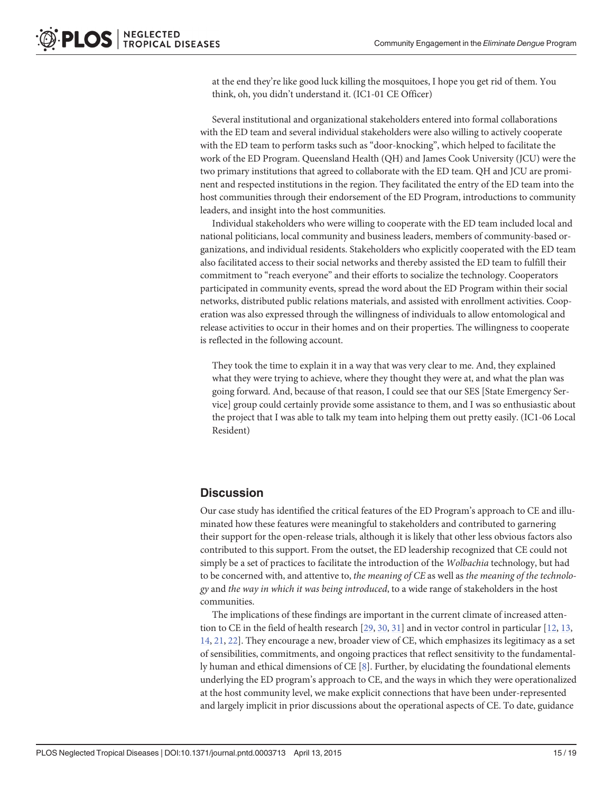<span id="page-14-0"></span>at the end they're like good luck killing the mosquitoes, I hope you get rid of them. You think, oh, you didn't understand it. (IC1-01 CE Officer)

Several institutional and organizational stakeholders entered into formal collaborations with the ED team and several individual stakeholders were also willing to actively cooperate with the ED team to perform tasks such as "door-knocking", which helped to facilitate the work of the ED Program. Queensland Health (QH) and James Cook University (JCU) were the two primary institutions that agreed to collaborate with the ED team. QH and JCU are prominent and respected institutions in the region. They facilitated the entry of the ED team into the host communities through their endorsement of the ED Program, introductions to community leaders, and insight into the host communities.

Individual stakeholders who were willing to cooperate with the ED team included local and national politicians, local community and business leaders, members of community-based organizations, and individual residents. Stakeholders who explicitly cooperated with the ED team also facilitated access to their social networks and thereby assisted the ED team to fulfill their commitment to "reach everyone" and their efforts to socialize the technology. Cooperators participated in community events, spread the word about the ED Program within their social networks, distributed public relations materials, and assisted with enrollment activities. Cooperation was also expressed through the willingness of individuals to allow entomological and release activities to occur in their homes and on their properties. The willingness to cooperate is reflected in the following account.

They took the time to explain it in a way that was very clear to me. And, they explained what they were trying to achieve, where they thought they were at, and what the plan was going forward. And, because of that reason, I could see that our SES [State Emergency Service] group could certainly provide some assistance to them, and I was so enthusiastic about the project that I was able to talk my team into helping them out pretty easily. (IC1-06 Local Resident)

# **Discussion**

Our case study has identified the critical features of the ED Program's approach to CE and illuminated how these features were meaningful to stakeholders and contributed to garnering their support for the open-release trials, although it is likely that other less obvious factors also contributed to this support. From the outset, the ED leadership recognized that CE could not simply be a set of practices to facilitate the introduction of the Wolbachia technology, but had to be concerned with, and attentive to, the meaning of CE as well as the meaning of the technology and the way in which it was being introduced, to a wide range of stakeholders in the host communities.

The implications of these findings are important in the current climate of increased attention to CE in the field of health research  $[29, 30, 31]$  $[29, 30, 31]$  $[29, 30, 31]$  $[29, 30, 31]$  $[29, 30, 31]$  and in vector control in particular  $[12, 13, 13]$  $[12, 13, 13]$  $[12, 13, 13]$  $[12, 13, 13]$ [14,](#page-17-0) [21,](#page-18-0) [22\]](#page-18-0). They encourage a new, broader view of CE, which emphasizes its legitimacy as a set of sensibilities, commitments, and ongoing practices that reflect sensitivity to the fundamentally human and ethical dimensions of CE [[8](#page-17-0)]. Further, by elucidating the foundational elements underlying the ED program's approach to CE, and the ways in which they were operationalized at the host community level, we make explicit connections that have been under-represented and largely implicit in prior discussions about the operational aspects of CE. To date, guidance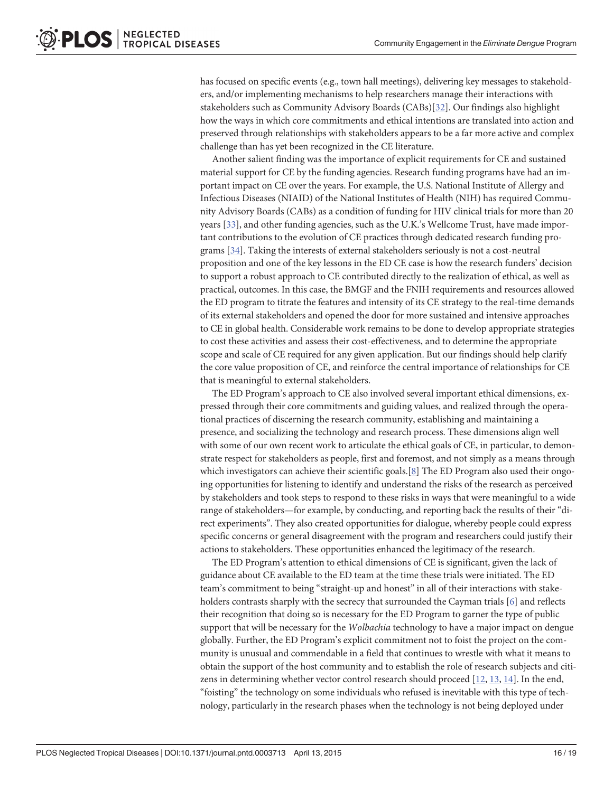<span id="page-15-0"></span>has focused on specific events (e.g., town hall meetings), delivering key messages to stakeholders, and/or implementing mechanisms to help researchers manage their interactions with stakeholders such as Community Advisory Boards (CABs)[\[32\]](#page-18-0). Our findings also highlight how the ways in which core commitments and ethical intentions are translated into action and preserved through relationships with stakeholders appears to be a far more active and complex challenge than has yet been recognized in the CE literature.

Another salient finding was the importance of explicit requirements for CE and sustained material support for CE by the funding agencies. Research funding programs have had an important impact on CE over the years. For example, the U.S. National Institute of Allergy and Infectious Diseases (NIAID) of the National Institutes of Health (NIH) has required Community Advisory Boards (CABs) as a condition of funding for HIV clinical trials for more than 20 years [\[33\]](#page-18-0), and other funding agencies, such as the U.K.'s Wellcome Trust, have made important contributions to the evolution of CE practices through dedicated research funding programs [\[34\]](#page-18-0). Taking the interests of external stakeholders seriously is not a cost-neutral proposition and one of the key lessons in the ED CE case is how the research funders' decision to support a robust approach to CE contributed directly to the realization of ethical, as well as practical, outcomes. In this case, the BMGF and the FNIH requirements and resources allowed the ED program to titrate the features and intensity of its CE strategy to the real-time demands of its external stakeholders and opened the door for more sustained and intensive approaches to CE in global health. Considerable work remains to be done to develop appropriate strategies to cost these activities and assess their cost-effectiveness, and to determine the appropriate scope and scale of CE required for any given application. But our findings should help clarify the core value proposition of CE, and reinforce the central importance of relationships for CE that is meaningful to external stakeholders.

The ED Program's approach to CE also involved several important ethical dimensions, expressed through their core commitments and guiding values, and realized through the operational practices of discerning the research community, establishing and maintaining a presence, and socializing the technology and research process. These dimensions align well with some of our own recent work to articulate the ethical goals of CE, in particular, to demonstrate respect for stakeholders as people, first and foremost, and not simply as a means through which investigators can achieve their scientific goals.[[8\]](#page-17-0) The ED Program also used their ongoing opportunities for listening to identify and understand the risks of the research as perceived by stakeholders and took steps to respond to these risks in ways that were meaningful to a wide range of stakeholders—for example, by conducting, and reporting back the results of their "direct experiments". They also created opportunities for dialogue, whereby people could express specific concerns or general disagreement with the program and researchers could justify their actions to stakeholders. These opportunities enhanced the legitimacy of the research.

The ED Program's attention to ethical dimensions of CE is significant, given the lack of guidance about CE available to the ED team at the time these trials were initiated. The ED team's commitment to being "straight-up and honest" in all of their interactions with stakeholders contrasts sharply with the secrecy that surrounded the Cayman trials [\[6\]](#page-17-0) and reflects their recognition that doing so is necessary for the ED Program to garner the type of public support that will be necessary for the Wolbachia technology to have a major impact on dengue globally. Further, the ED Program's explicit commitment not to foist the project on the community is unusual and commendable in a field that continues to wrestle with what it means to obtain the support of the host community and to establish the role of research subjects and citizens in determining whether vector control research should proceed [\[12,](#page-17-0) [13,](#page-17-0) [14\]](#page-17-0). In the end, "foisting" the technology on some individuals who refused is inevitable with this type of technology, particularly in the research phases when the technology is not being deployed under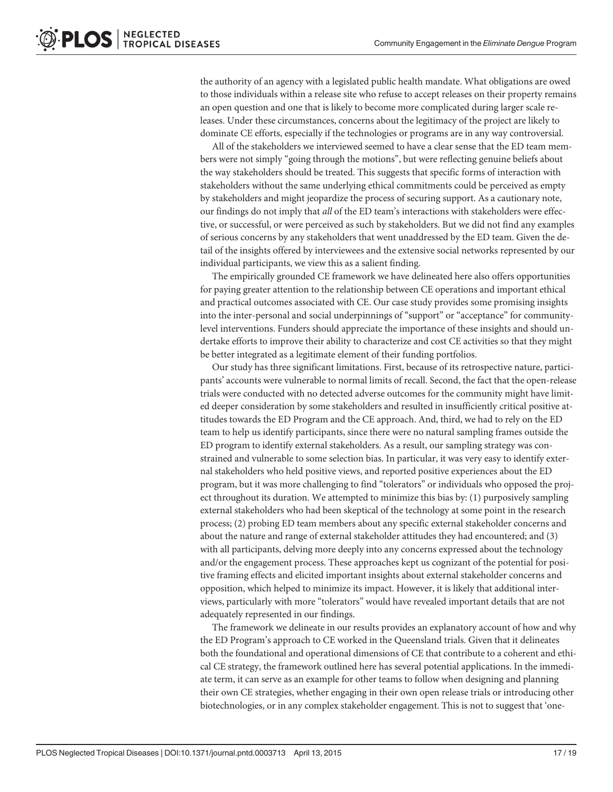the authority of an agency with a legislated public health mandate. What obligations are owed to those individuals within a release site who refuse to accept releases on their property remains an open question and one that is likely to become more complicated during larger scale releases. Under these circumstances, concerns about the legitimacy of the project are likely to dominate CE efforts, especially if the technologies or programs are in any way controversial.

All of the stakeholders we interviewed seemed to have a clear sense that the ED team members were not simply "going through the motions", but were reflecting genuine beliefs about the way stakeholders should be treated. This suggests that specific forms of interaction with stakeholders without the same underlying ethical commitments could be perceived as empty by stakeholders and might jeopardize the process of securing support. As a cautionary note, our findings do not imply that *all* of the ED team's interactions with stakeholders were effective, or successful, or were perceived as such by stakeholders. But we did not find any examples of serious concerns by any stakeholders that went unaddressed by the ED team. Given the detail of the insights offered by interviewees and the extensive social networks represented by our individual participants, we view this as a salient finding.

The empirically grounded CE framework we have delineated here also offers opportunities for paying greater attention to the relationship between CE operations and important ethical and practical outcomes associated with CE. Our case study provides some promising insights into the inter-personal and social underpinnings of "support" or "acceptance" for communitylevel interventions. Funders should appreciate the importance of these insights and should undertake efforts to improve their ability to characterize and cost CE activities so that they might be better integrated as a legitimate element of their funding portfolios.

Our study has three significant limitations. First, because of its retrospective nature, participants' accounts were vulnerable to normal limits of recall. Second, the fact that the open-release trials were conducted with no detected adverse outcomes for the community might have limited deeper consideration by some stakeholders and resulted in insufficiently critical positive attitudes towards the ED Program and the CE approach. And, third, we had to rely on the ED team to help us identify participants, since there were no natural sampling frames outside the ED program to identify external stakeholders. As a result, our sampling strategy was constrained and vulnerable to some selection bias. In particular, it was very easy to identify external stakeholders who held positive views, and reported positive experiences about the ED program, but it was more challenging to find "tolerators" or individuals who opposed the project throughout its duration. We attempted to minimize this bias by: (1) purposively sampling external stakeholders who had been skeptical of the technology at some point in the research process; (2) probing ED team members about any specific external stakeholder concerns and about the nature and range of external stakeholder attitudes they had encountered; and (3) with all participants, delving more deeply into any concerns expressed about the technology and/or the engagement process. These approaches kept us cognizant of the potential for positive framing effects and elicited important insights about external stakeholder concerns and opposition, which helped to minimize its impact. However, it is likely that additional interviews, particularly with more "tolerators" would have revealed important details that are not adequately represented in our findings.

The framework we delineate in our results provides an explanatory account of how and why the ED Program's approach to CE worked in the Queensland trials. Given that it delineates both the foundational and operational dimensions of CE that contribute to a coherent and ethical CE strategy, the framework outlined here has several potential applications. In the immediate term, it can serve as an example for other teams to follow when designing and planning their own CE strategies, whether engaging in their own open release trials or introducing other biotechnologies, or in any complex stakeholder engagement. This is not to suggest that 'one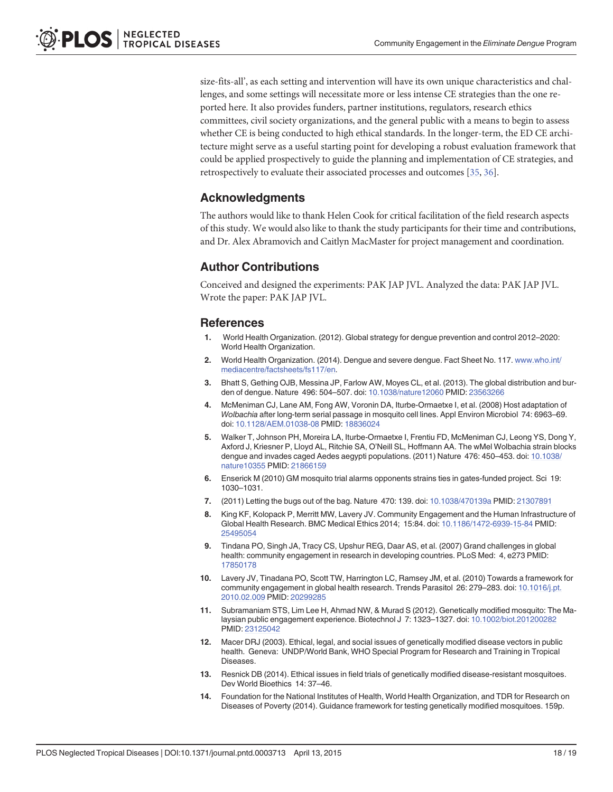<span id="page-17-0"></span>size-fits-all', as each setting and intervention will have its own unique characteristics and challenges, and some settings will necessitate more or less intense CE strategies than the one reported here. It also provides funders, partner institutions, regulators, research ethics committees, civil society organizations, and the general public with a means to begin to assess whether CE is being conducted to high ethical standards. In the longer-term, the ED CE architecture might serve as a useful starting point for developing a robust evaluation framework that could be applied prospectively to guide the planning and implementation of CE strategies, and retrospectively to evaluate their associated processes and outcomes [\[35,](#page-18-0) [36](#page-18-0)].

# Acknowledgments

The authors would like to thank Helen Cook for critical facilitation of the field research aspects of this study. We would also like to thank the study participants for their time and contributions, and Dr. Alex Abramovich and Caitlyn MacMaster for project management and coordination.

# Author Contributions

Conceived and designed the experiments: PAK JAP JVL. Analyzed the data: PAK JAP JVL. Wrote the paper: PAK JAP JVL.

# References

- [1.](#page-1-0) World Health Organization. (2012). Global strategy for dengue prevention and control 2012–2020: World Health Organization.
- [2.](#page-1-0) World Health Organization. (2014). Dengue and severe dengue. Fact Sheet No. 117. [www.who.int/](http://www.who.int/mediacentre/factsheets/fs117/en) [mediacentre/factsheets/fs117/en](http://www.who.int/mediacentre/factsheets/fs117/en).
- [3.](#page-1-0) Bhatt S, Gething OJB, Messina JP, Farlow AW, Moyes CL, et al. (2013). The global distribution and burden of dengue. Nature 496: 504–507. doi: [10.1038/nature12060](http://dx.doi.org/10.1038/nature12060) PMID: [23563266](http://www.ncbi.nlm.nih.gov/pubmed/23563266)
- [4.](#page-1-0) McMeniman CJ, Lane AM, Fong AW, Voronin DA, Iturbe-Ormaetxe I, et al. (2008) Host adaptation of Wolbachia after long-term serial passage in mosquito cell lines. Appl Environ Microbiol 74: 6963–69. doi: [10.1128/AEM.01038-08](http://dx.doi.org/10.1128/AEM.01038-08) PMID: [18836024](http://www.ncbi.nlm.nih.gov/pubmed/18836024)
- [5.](#page-1-0) Walker T, Johnson PH, Moreira LA, Iturbe-Ormaetxe I, Frentiu FD, McMeniman CJ, Leong YS, Dong Y, Axford J, Kriesner P, Lloyd AL, Ritchie SA, O'Neill SL, Hoffmann AA. The wMel Wolbachia strain blocks dengue and invades caged Aedes aegypti populations. (2011) Nature 476: 450-453. doi: [10.1038/](http://dx.doi.org/10.1038/nature10355) [nature10355](http://dx.doi.org/10.1038/nature10355) PMID: [21866159](http://www.ncbi.nlm.nih.gov/pubmed/21866159)
- [6.](#page-2-0) Enserick M (2010) GM mosquito trial alarms opponents strains ties in gates-funded project. Sci 19: 1030–1031.
- [7.](#page-2-0) (2011) Letting the bugs out of the bag. Nature 470: 139. doi: [10.1038/470139a](http://dx.doi.org/10.1038/470139a) PMID: [21307891](http://www.ncbi.nlm.nih.gov/pubmed/21307891)
- [8.](#page-2-0) King KF, Kolopack P, Merritt MW, Lavery JV. Community Engagement and the Human Infrastructure of Global Health Research. BMC Medical Ethics 2014; 15:84. doi: [10.1186/1472-6939-15-84](http://dx.doi.org/10.1186/1472-6939-15-84) PMID: [25495054](http://www.ncbi.nlm.nih.gov/pubmed/25495054)
- [9.](#page-2-0) Tindana PO, Singh JA, Tracy CS, Upshur REG, Daar AS, et al. (2007) Grand challenges in global health: community engagement in research in developing countries. PLoS Med: 4, e273 PMID: [17850178](http://www.ncbi.nlm.nih.gov/pubmed/17850178)
- [10.](#page-2-0) Lavery JV, Tinadana PO, Scott TW, Harrington LC, Ramsey JM, et al. (2010) Towards a framework for community engagement in global health research. Trends Parasitol 26: 279–283. doi: [10.1016/j.pt.](http://dx.doi.org/10.1016/j.pt.2010.02.009) [2010.02.009](http://dx.doi.org/10.1016/j.pt.2010.02.009) PMID: [20299285](http://www.ncbi.nlm.nih.gov/pubmed/20299285)
- [11.](#page-2-0) Subramaniam STS, Lim Lee H, Ahmad NW, & Murad S (2012). Genetically modified mosquito: The Malaysian public engagement experience. Biotechnol J 7: 1323–1327. doi: [10.1002/biot.201200282](http://dx.doi.org/10.1002/biot.201200282) PMID: [23125042](http://www.ncbi.nlm.nih.gov/pubmed/23125042)
- [12.](#page-2-0) Macer DRJ (2003). Ethical, legal, and social issues of genetically modified disease vectors in public health. Geneva: UNDP/World Bank, WHO Special Program for Research and Training in Tropical Diseases.
- [13.](#page-2-0) Resnick DB (2014). Ethical issues in field trials of genetically modified disease-resistant mosquitoes. Dev World Bioethics 14: 37–46.
- [14.](#page-2-0) Foundation for the National Institutes of Health, World Health Organization, and TDR for Research on Diseases of Poverty (2014). Guidance framework for testing genetically modified mosquitoes. 159p.